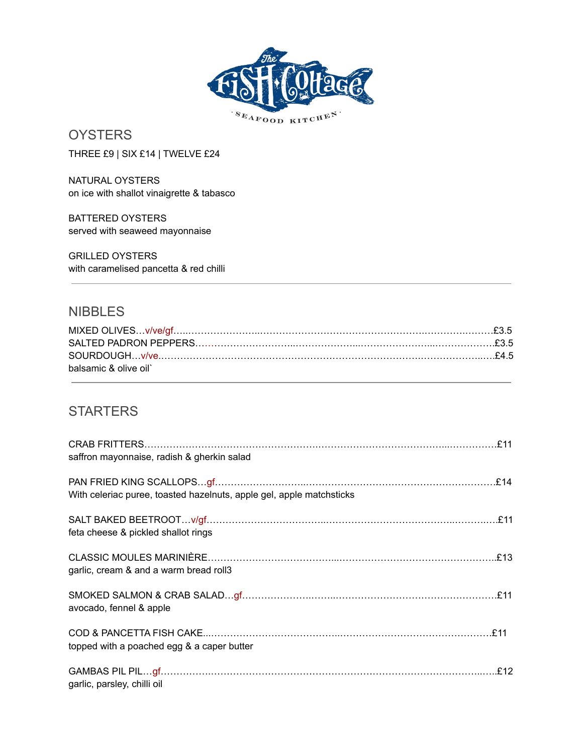

# **OYSTERS**

THREE £9 | SIX £14 | TWELVE £24

NATURAL OYSTERS on ice with shallot vinaigrette & tabasco

BATTERED OYSTERS served with seaweed mayonnaise

GRILLED OYSTERS with caramelised pancetta & red chilli

### **NIBBLES**

| balsamic & olive oil` |  |
|-----------------------|--|

### **STARTERS**

| saffron mayonnaise, radish & gherkin salad                           |  |
|----------------------------------------------------------------------|--|
| With celeriac puree, toasted hazelnuts, apple gel, apple matchsticks |  |
| feta cheese & pickled shallot rings                                  |  |
| garlic, cream & and a warm bread roll3                               |  |
| avocado, fennel & apple                                              |  |
| topped with a poached egg & a caper butter                           |  |
| garlic, parsley, chilli oil                                          |  |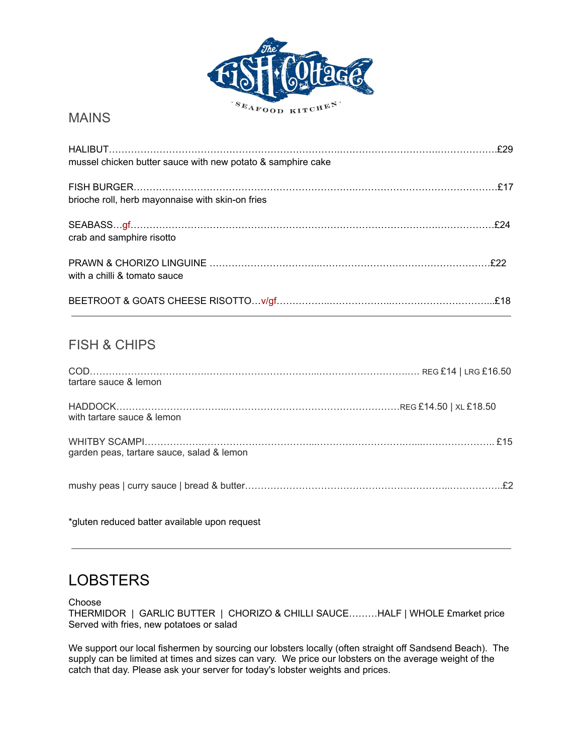

#### MAINS

| mussel chicken butter sauce with new potato & samphire cake |  |
|-------------------------------------------------------------|--|
| brioche roll, herb mayonnaise with skin-on fries            |  |
| crab and samphire risotto                                   |  |
| with a chilli & tomato sauce                                |  |
|                                                             |  |

#### FISH & CHIPS

| tartare sauce & lemon                     |  |
|-------------------------------------------|--|
| with tartare sauce & lemon                |  |
| garden peas, tartare sauce, salad & lemon |  |
|                                           |  |

\*gluten reduced batter available upon request

## **LOBSTERS**

Choose

THERMIDOR | GARLIC BUTTER | CHORIZO & CHILLI SAUCE………HALF | WHOLE £market price Served with fries, new potatoes or salad

We support our local fishermen by sourcing our lobsters locally (often straight off Sandsend Beach). The supply can be limited at times and sizes can vary. We price our lobsters on the average weight of the catch that day. Please ask your server for today's lobster weights and prices.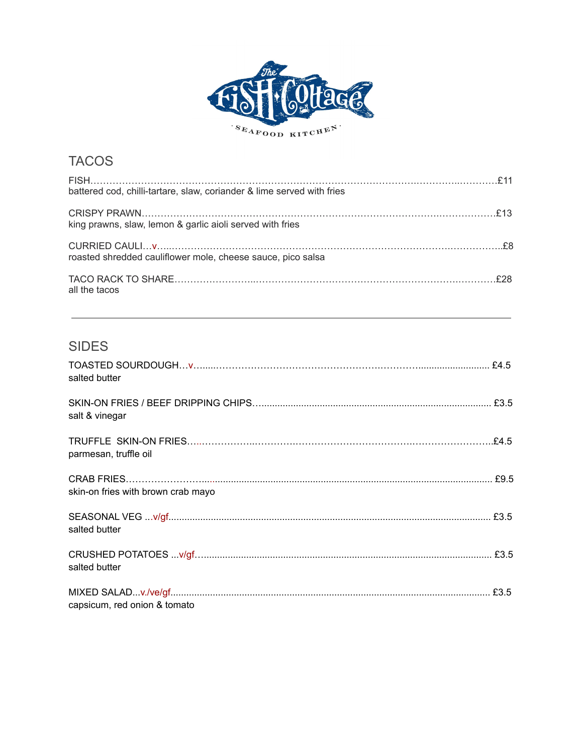

| <b>TACOS</b>                                                           |  |
|------------------------------------------------------------------------|--|
| battered cod, chilli-tartare, slaw, coriander & lime served with fries |  |
| king prawns, slaw, lemon & garlic aioli served with fries              |  |
| roasted shredded cauliflower mole, cheese sauce, pico salsa            |  |
| all the tacos                                                          |  |
| <b>SIDES</b>                                                           |  |
| salted butter                                                          |  |

| salt & vinegar                     |  |
|------------------------------------|--|
| parmesan, truffle oil              |  |
| skin-on fries with brown crab mayo |  |
| salted butter                      |  |
| salted butter                      |  |
| capsicum, red onion & tomato       |  |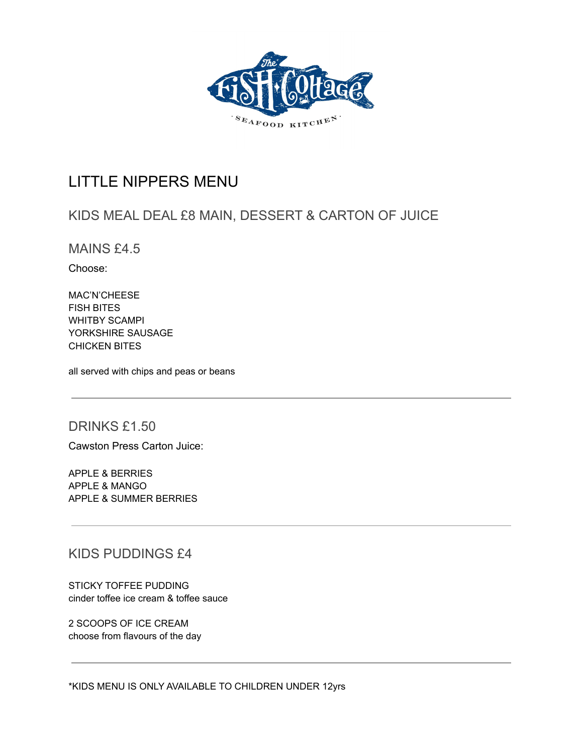

### LITTLE NIPPERS MENU

### KIDS MEAL DEAL £8 MAIN, DESSERT & CARTON OF JUICE

MAINS £4.5

Choose:

MAC'N'CHEESE FISH BITES WHITBY SCAMPI YORKSHIRE SAUSAGE CHICKEN BITES

all served with chips and peas or beans

#### DRINKS £1.50

Cawston Press Carton Juice:

APPLE & BERRIES APPLE & MANGO APPLE & SUMMER BERRIES

KIDS PUDDINGS £4

STICKY TOFFEE PUDDING cinder toffee ice cream & toffee sauce

2 SCOOPS OF ICE CREAM choose from flavours of the day

\*KIDS MENU IS ONLY AVAILABLE TO CHILDREN UNDER 12yrs